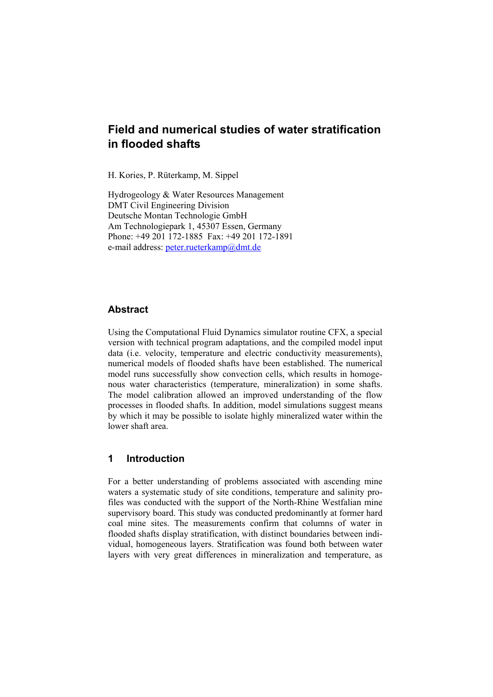# **Field and numerical studies of water stratification in flooded shafts**

H. Kories, P. Rüterkamp, M. Sippel

Hydrogeology & Water Resources Management DMT Civil Engineering Division Deutsche Montan Technologie GmbH Am Technologiepark 1, 45307 Essen, Germany Phone: +49 201 172-1885 Fax: +49 201 172-1891 e-mail address: peter.rueterkamp@dmt.de

# **Abstract**

Using the Computational Fluid Dynamics simulator routine CFX, a special version with technical program adaptations, and the compiled model input data (i.e. velocity, temperature and electric conductivity measurements), numerical models of flooded shafts have been established. The numerical model runs successfully show convection cells, which results in homogenous water characteristics (temperature, mineralization) in some shafts. The model calibration allowed an improved understanding of the flow processes in flooded shafts. In addition, model simulations suggest means by which it may be possible to isolate highly mineralized water within the lower shaft area.

# **1 Introduction**

For a better understanding of problems associated with ascending mine waters a systematic study of site conditions, temperature and salinity profiles was conducted with the support of the North-Rhine Westfalian mine supervisory board. This study was conducted predominantly at former hard coal mine sites. The measurements confirm that columns of water in flooded shafts display stratification, with distinct boundaries between individual, homogeneous layers. Stratification was found both between water layers with very great differences in mineralization and temperature, as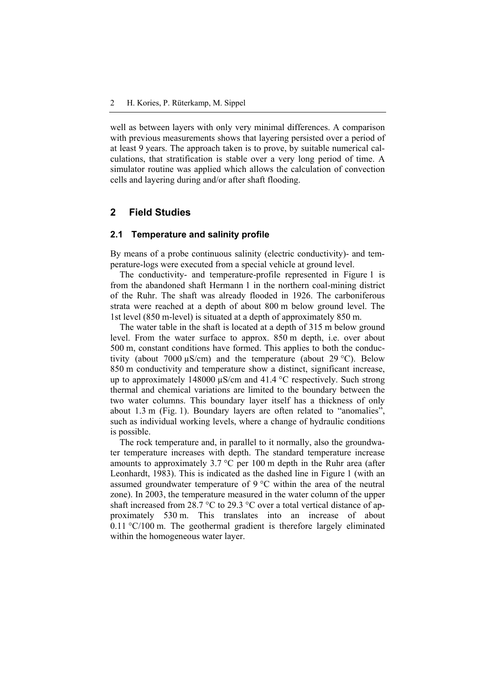well as between layers with only very minimal differences. A comparison with previous measurements shows that layering persisted over a period of at least 9 years. The approach taken is to prove, by suitable numerical calculations, that stratification is stable over a very long period of time. A simulator routine was applied which allows the calculation of convection cells and layering during and/or after shaft flooding.

# **2 Field Studies**

#### **2.1 Temperature and salinity profile**

By means of a probe continuous salinity (electric conductivity)- and temperature-logs were executed from a special vehicle at ground level.

The conductivity- and temperature-profile represented in Figure 1 is from the abandoned shaft Hermann 1 in the northern coal-mining district of the Ruhr. The shaft was already flooded in 1926. The carboniferous strata were reached at a depth of about 800 m below ground level. The 1st level (850 m-level) is situated at a depth of approximately 850 m.

The water table in the shaft is located at a depth of 315 m below ground level. From the water surface to approx. 850 m depth, i.e. over about 500 m, constant conditions have formed. This applies to both the conductivity (about 7000  $\mu$ S/cm) and the temperature (about 29 °C). Below 850 m conductivity and temperature show a distinct, significant increase, up to approximately 148000 µS/cm and 41.4 °C respectively. Such strong thermal and chemical variations are limited to the boundary between the two water columns. This boundary layer itself has a thickness of only about 1.3 m (Fig. 1). Boundary layers are often related to "anomalies", such as individual working levels, where a change of hydraulic conditions is possible.

The rock temperature and, in parallel to it normally, also the groundwater temperature increases with depth. The standard temperature increase amounts to approximately 3.7 °C per 100 m depth in the Ruhr area (after Leonhardt, 1983). This is indicated as the dashed line in Figure 1 (with an assumed groundwater temperature of 9 °C within the area of the neutral zone). In 2003, the temperature measured in the water column of the upper shaft increased from 28.7 °C to 29.3 °C over a total vertical distance of approximately 530 m. This translates into an increase of about 0.11 °C/100 m. The geothermal gradient is therefore largely eliminated within the homogeneous water layer.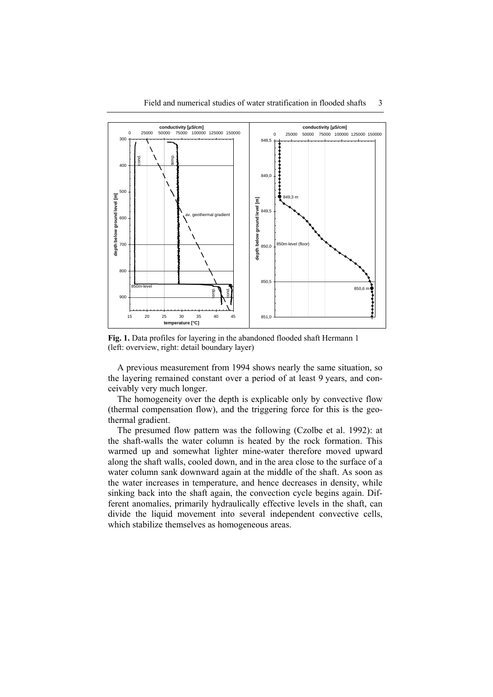

**Fig. 1.** Data profiles for layering in the abandoned flooded shaft Hermann 1 (left: overview, right: detail boundary layer)

A previous measurement from 1994 shows nearly the same situation, so the layering remained constant over a period of at least 9 years, and conceivably very much longer.

The homogeneity over the depth is explicable only by convective flow (thermal compensation flow), and the triggering force for this is the geothermal gradient.

The presumed flow pattern was the following (Czolbe et al. 1992): at the shaft-walls the water column is heated by the rock formation. This warmed up and somewhat lighter mine-water therefore moved upward along the shaft walls, cooled down, and in the area close to the surface of a water column sank downward again at the middle of the shaft. As soon as the water increases in temperature, and hence decreases in density, while sinking back into the shaft again, the convection cycle begins again. Different anomalies, primarily hydraulically effective levels in the shaft, can divide the liquid movement into several independent convective cells, which stabilize themselves as homogeneous areas.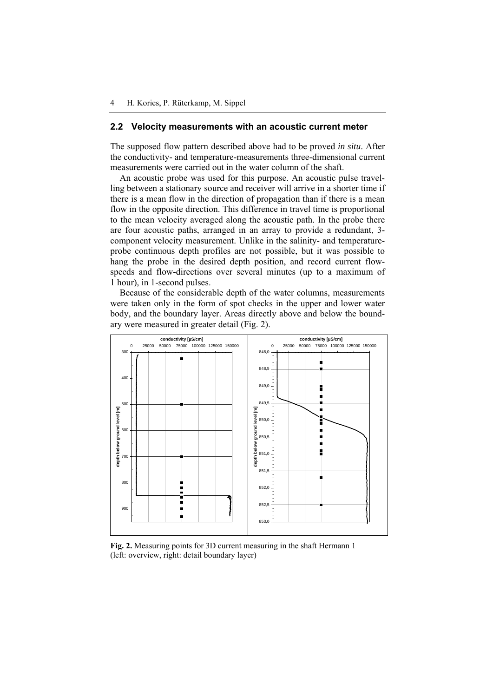#### **2.2 Velocity measurements with an acoustic current meter**

The supposed flow pattern described above had to be proved *in situ*. After the conductivity- and temperature-measurements three-dimensional current measurements were carried out in the water column of the shaft.

An acoustic probe was used for this purpose. An acoustic pulse travelling between a stationary source and receiver will arrive in a shorter time if there is a mean flow in the direction of propagation than if there is a mean flow in the opposite direction. This difference in travel time is proportional to the mean velocity averaged along the acoustic path. In the probe there are four acoustic paths, arranged in an array to provide a redundant, 3 component velocity measurement. Unlike in the salinity- and temperatureprobe continuous depth profiles are not possible, but it was possible to hang the probe in the desired depth position, and record current flowspeeds and flow-directions over several minutes (up to a maximum of 1 hour), in 1-second pulses.

Because of the considerable depth of the water columns, measurements were taken only in the form of spot checks in the upper and lower water body, and the boundary layer. Areas directly above and below the boundary were measured in greater detail (Fig. 2).



**Fig. 2.** Measuring points for 3D current measuring in the shaft Hermann 1 (left: overview, right: detail boundary layer)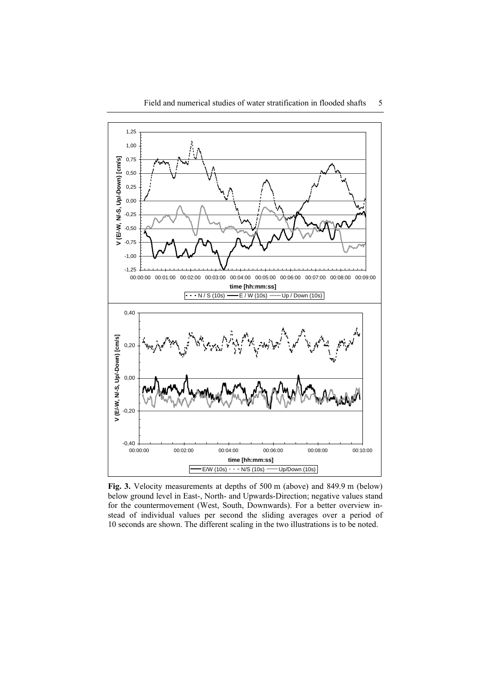

**Fig. 3.** Velocity measurements at depths of 500 m (above) and 849.9 m (below) below ground level in East-, North- and Upwards-Direction; negative values stand for the countermovement (West, South, Downwards). For a better overview instead of individual values per second the sliding averages over a period of 10 seconds are shown. The different scaling in the two illustrations is to be noted.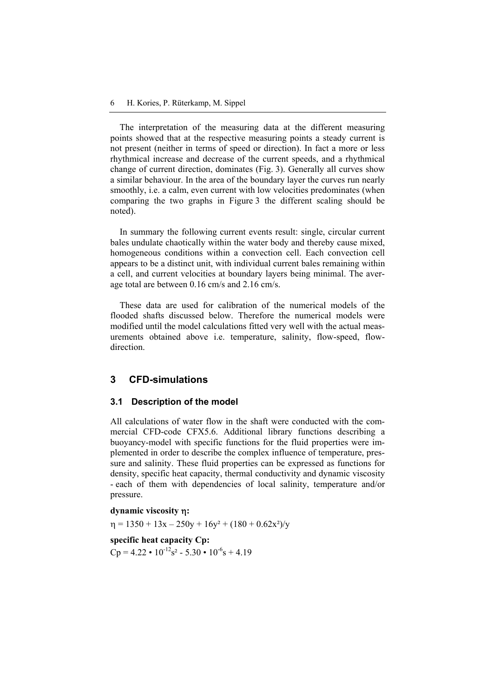The interpretation of the measuring data at the different measuring points showed that at the respective measuring points a steady current is not present (neither in terms of speed or direction). In fact a more or less rhythmical increase and decrease of the current speeds, and a rhythmical change of current direction, dominates (Fig. 3). Generally all curves show a similar behaviour. In the area of the boundary layer the curves run nearly smoothly, i.e. a calm, even current with low velocities predominates (when comparing the two graphs in Figure 3 the different scaling should be noted).

In summary the following current events result: single, circular current bales undulate chaotically within the water body and thereby cause mixed, homogeneous conditions within a convection cell. Each convection cell appears to be a distinct unit, with individual current bales remaining within a cell, and current velocities at boundary layers being minimal. The average total are between 0.16 cm/s and 2.16 cm/s.

These data are used for calibration of the numerical models of the flooded shafts discussed below. Therefore the numerical models were modified until the model calculations fitted very well with the actual measurements obtained above i.e. temperature, salinity, flow-speed, flowdirection.

#### **3 CFD-simulations**

#### **3.1 Description of the model**

All calculations of water flow in the shaft were conducted with the commercial CFD-code CFX5.6. Additional library functions describing a buoyancy-model with specific functions for the fluid properties were implemented in order to describe the complex influence of temperature, pressure and salinity. These fluid properties can be expressed as functions for density, specific heat capacity, thermal conductivity and dynamic viscosity - each of them with dependencies of local salinity, temperature and/or pressure.

#### **dynamic viscosity** η**:**

 $\eta = 1350 + 13x - 250y + 16y^2 + (180 + 0.62x^2)/y$ 

**specific heat capacity Cp:**   $Cp = 4.22 \cdot 10^{-12} s^2 - 5.30 \cdot 10^{-6} s + 4.19$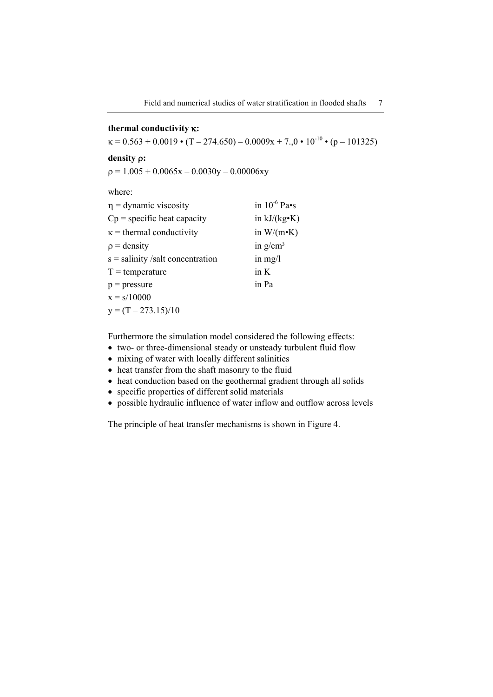# **thermal conductivity** κ**:**

 $\kappa = 0.563 + 0.0019 \cdot (T - 274.650) - 0.0009x + 7.0 \cdot 10^{-10} \cdot (p - 101325)$ 

**density** ρ**:** 

 $p = 1.005 + 0.0065x - 0.0030y - 0.00006xy$ 

where:

| $\eta$ = dynamic viscosity         | in $10^{-6}$ Pa•s    |
|------------------------------------|----------------------|
| $Cp$ = specific heat capacity      | in $kJ/(kg \cdot K)$ |
| $\kappa$ = thermal conductivity    | in $W/(m \cdot K)$   |
| $\rho$ = density                   | in $g/cm^3$          |
| $s =$ salinity /salt concentration | in $mg/l$            |
| $T = temperature$                  | in K                 |
| $p = pressure$                     | in Pa                |
| $x = s/10000$                      |                      |
| $y = (T - 273.15)/10$              |                      |

Furthermore the simulation model considered the following effects:

- two- or three-dimensional steady or unsteady turbulent fluid flow
- mixing of water with locally different salinities
- heat transfer from the shaft masonry to the fluid
- heat conduction based on the geothermal gradient through all solids
- specific properties of different solid materials
- possible hydraulic influence of water inflow and outflow across levels

The principle of heat transfer mechanisms is shown in Figure 4.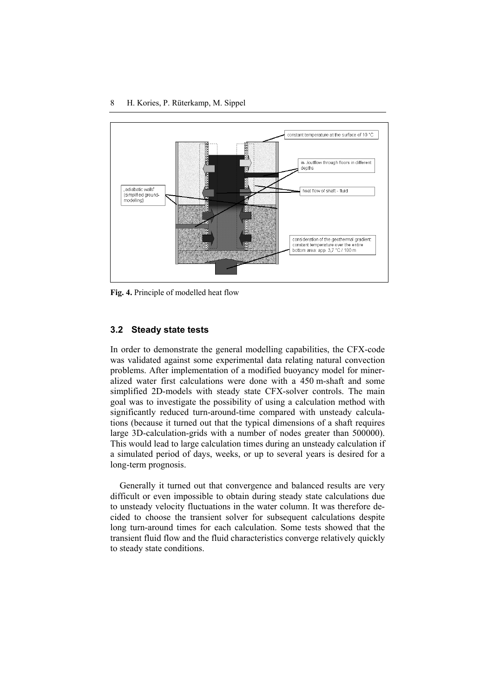

**Fig. 4.** Principle of modelled heat flow

#### **3.2 Steady state tests**

In order to demonstrate the general modelling capabilities, the CFX-code was validated against some experimental data relating natural convection problems. After implementation of a modified buoyancy model for mineralized water first calculations were done with a 450 m-shaft and some simplified 2D-models with steady state CFX-solver controls. The main goal was to investigate the possibility of using a calculation method with significantly reduced turn-around-time compared with unsteady calculations (because it turned out that the typical dimensions of a shaft requires large 3D-calculation-grids with a number of nodes greater than 500000). This would lead to large calculation times during an unsteady calculation if a simulated period of days, weeks, or up to several years is desired for a long-term prognosis.

Generally it turned out that convergence and balanced results are very difficult or even impossible to obtain during steady state calculations due to unsteady velocity fluctuations in the water column. It was therefore decided to choose the transient solver for subsequent calculations despite long turn-around times for each calculation. Some tests showed that the transient fluid flow and the fluid characteristics converge relatively quickly to steady state conditions.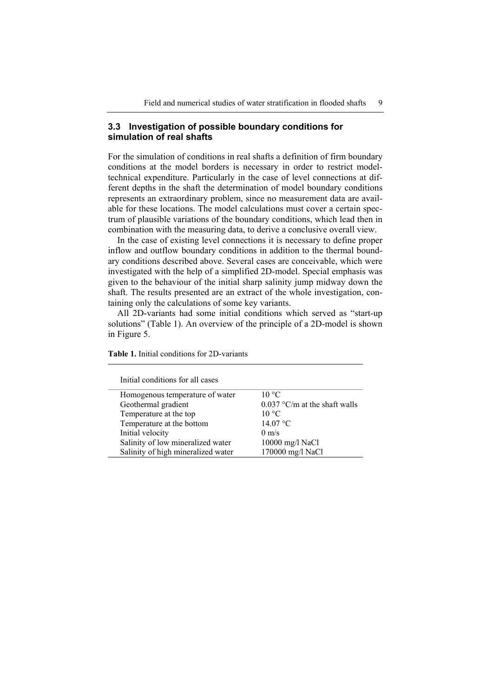#### **3.3 Investigation of possible boundary conditions for simulation of real shafts**

For the simulation of conditions in real shafts a definition of firm boundary conditions at the model borders is necessary in order to restrict modeltechnical expenditure. Particularly in the case of level connections at different depths in the shaft the determination of model boundary conditions represents an extraordinary problem, since no measurement data are available for these locations. The model calculations must cover a certain spectrum of plausible variations of the boundary conditions, which lead then in combination with the measuring data, to derive a conclusive overall view.

In the case of existing level connections it is necessary to define proper inflow and outflow boundary conditions in addition to the thermal boundary conditions described above. Several cases are conceivable, which were investigated with the help of a simplified 2D-model. Special emphasis was given to the behaviour of the initial sharp salinity jump midway down the shaft. The results presented are an extract of the whole investigation, containing only the calculations of some key variants.

All 2D-variants had some initial conditions which served as "start-up solutions" (Table 1). An overview of the principle of a 2D-model is shown in Figure 5.

| Initial conditions for all cases   |                                 |
|------------------------------------|---------------------------------|
| Homogenous temperature of water    | $10^{\circ}$ C                  |
| Geothermal gradient                | $0.037$ °C/m at the shaft walls |
| Temperature at the top             | $10^{\circ}$ C                  |
| Temperature at the bottom          | 14.07 °C                        |
| Initial velocity                   | $0 \text{ m/s}$                 |
| Salinity of low mineralized water  | 10000 mg/l NaCl                 |
| Salinity of high mineralized water | 170000 mg/l NaCl                |

**Table 1.** Initial conditions for 2D-variants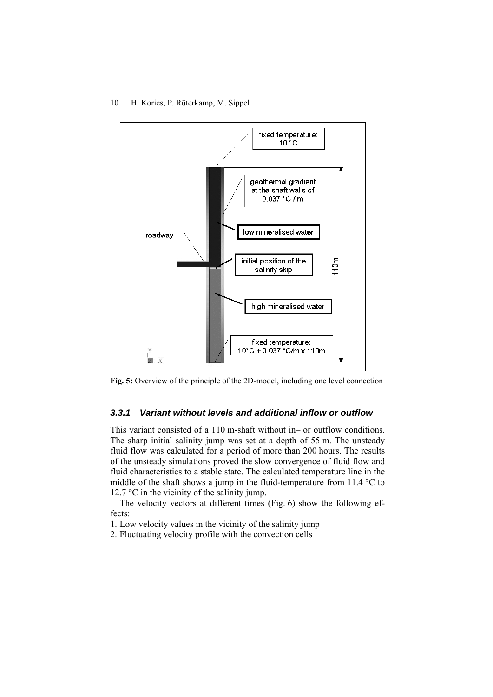

**Fig. 5:** Overview of the principle of the 2D-model, including one level connection

# *3.3.1 Variant without levels and additional inflow or outflow*

This variant consisted of a 110 m-shaft without in– or outflow conditions. The sharp initial salinity jump was set at a depth of 55 m. The unsteady fluid flow was calculated for a period of more than 200 hours. The results of the unsteady simulations proved the slow convergence of fluid flow and fluid characteristics to a stable state. The calculated temperature line in the middle of the shaft shows a jump in the fluid-temperature from  $11.4 \text{ }^{\circ}\text{C}$  to 12.7 °C in the vicinity of the salinity jump.

The velocity vectors at different times (Fig. 6) show the following effects:

1. Low velocity values in the vicinity of the salinity jump

2. Fluctuating velocity profile with the convection cells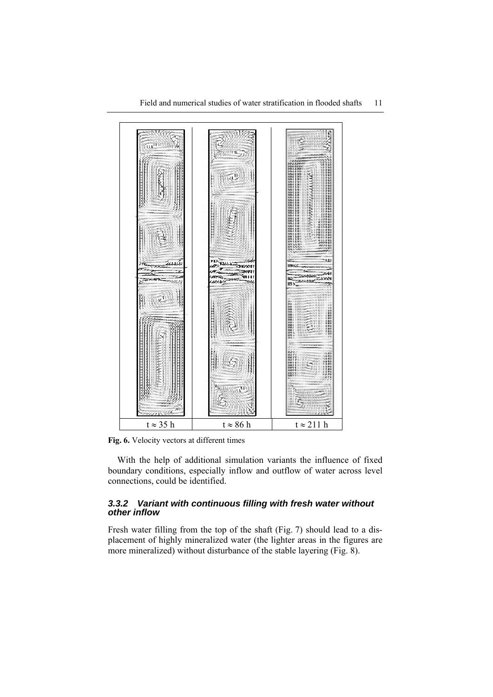

**Fig. 6.** Velocity vectors at different times

With the help of additional simulation variants the influence of fixed boundary conditions, especially inflow and outflow of water across level connections, could be identified.

# *3.3.2 Variant with continuous filling with fresh water without other inflow*

Fresh water filling from the top of the shaft (Fig. 7) should lead to a displacement of highly mineralized water (the lighter areas in the figures are more mineralized) without disturbance of the stable layering (Fig. 8).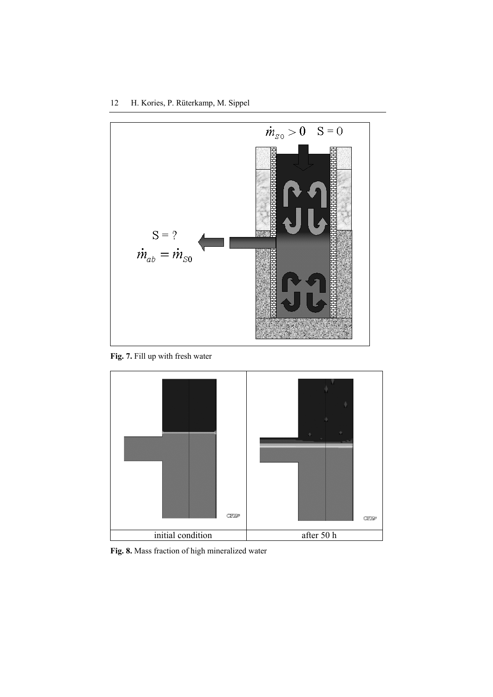

**Fig. 7.** Fill up with fresh water



**Fig. 8.** Mass fraction of high mineralized water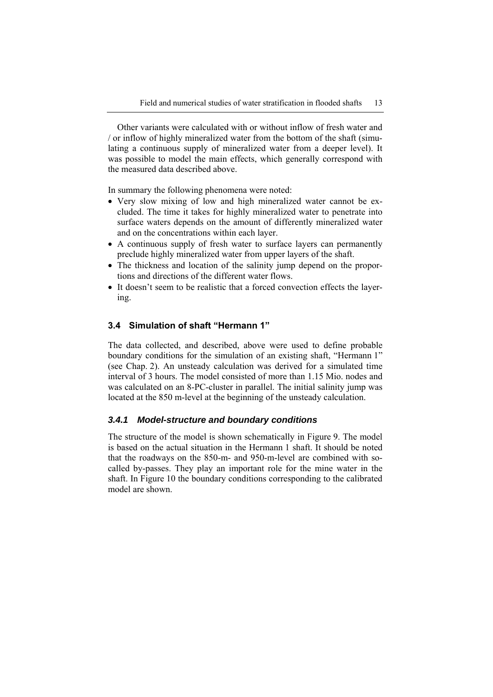Other variants were calculated with or without inflow of fresh water and / or inflow of highly mineralized water from the bottom of the shaft (simulating a continuous supply of mineralized water from a deeper level). It was possible to model the main effects, which generally correspond with the measured data described above.

In summary the following phenomena were noted:

- Very slow mixing of low and high mineralized water cannot be excluded. The time it takes for highly mineralized water to penetrate into surface waters depends on the amount of differently mineralized water and on the concentrations within each layer.
- A continuous supply of fresh water to surface layers can permanently preclude highly mineralized water from upper layers of the shaft.
- The thickness and location of the salinity jump depend on the proportions and directions of the different water flows.
- It doesn't seem to be realistic that a forced convection effects the layering.

#### **3.4 Simulation of shaft "Hermann 1"**

The data collected, and described, above were used to define probable boundary conditions for the simulation of an existing shaft, "Hermann 1" (see Chap. 2). An unsteady calculation was derived for a simulated time interval of 3 hours. The model consisted of more than 1.15 Mio. nodes and was calculated on an 8-PC-cluster in parallel. The initial salinity jump was located at the 850 m-level at the beginning of the unsteady calculation.

## *3.4.1 Model-structure and boundary conditions*

The structure of the model is shown schematically in Figure 9. The model is based on the actual situation in the Hermann 1 shaft. It should be noted that the roadways on the 850-m- and 950-m-level are combined with socalled by-passes. They play an important role for the mine water in the shaft. In Figure 10 the boundary conditions corresponding to the calibrated model are shown.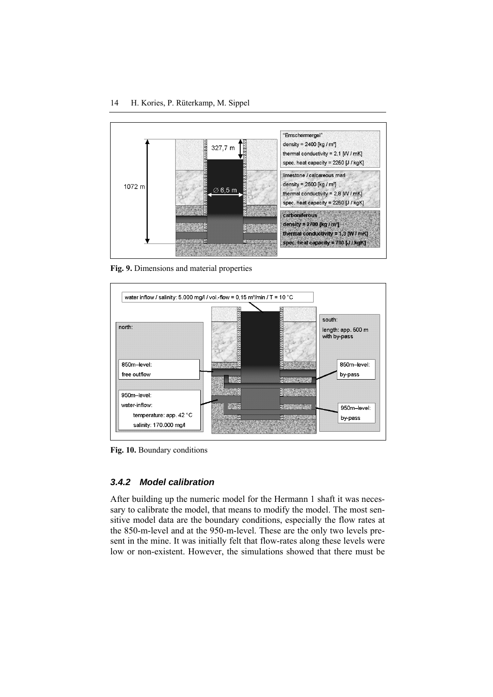

**Fig. 9.** Dimensions and material properties



**Fig. 10.** Boundary conditions

#### *3.4.2 Model calibration*

After building up the numeric model for the Hermann 1 shaft it was necessary to calibrate the model, that means to modify the model. The most sensitive model data are the boundary conditions, especially the flow rates at the 850-m-level and at the 950-m-level. These are the only two levels present in the mine. It was initially felt that flow-rates along these levels were low or non-existent. However, the simulations showed that there must be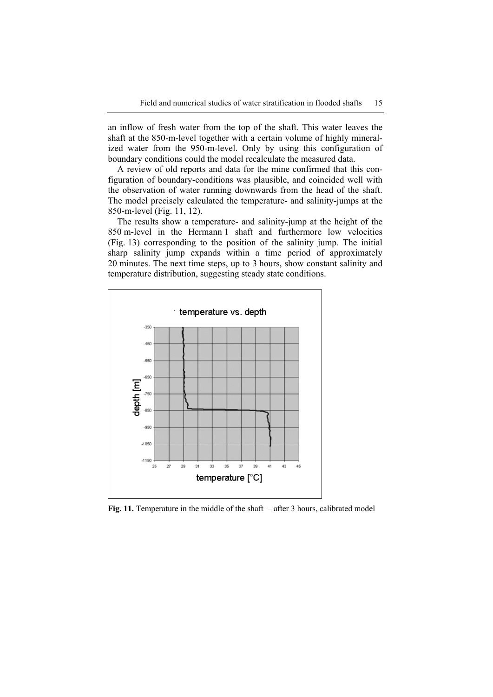an inflow of fresh water from the top of the shaft. This water leaves the shaft at the 850-m-level together with a certain volume of highly mineralized water from the 950-m-level. Only by using this configuration of boundary conditions could the model recalculate the measured data.

A review of old reports and data for the mine confirmed that this configuration of boundary-conditions was plausible, and coincided well with the observation of water running downwards from the head of the shaft. The model precisely calculated the temperature- and salinity-jumps at the 850-m-level (Fig. 11, 12).

The results show a temperature- and salinity-jump at the height of the 850 m-level in the Hermann 1 shaft and furthermore low velocities (Fig. 13) corresponding to the position of the salinity jump. The initial sharp salinity jump expands within a time period of approximately 20 minutes. The next time steps, up to 3 hours, show constant salinity and temperature distribution, suggesting steady state conditions.



**Fig. 11.** Temperature in the middle of the shaft – after 3 hours, calibrated model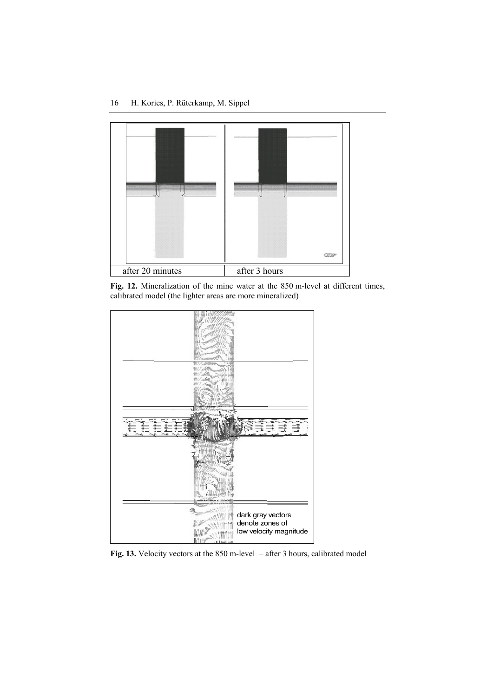

**Fig. 12.** Mineralization of the mine water at the 850 m-level at different times, calibrated model (the lighter areas are more mineralized)



**Fig. 13.** Velocity vectors at the 850 m-level – after 3 hours, calibrated model